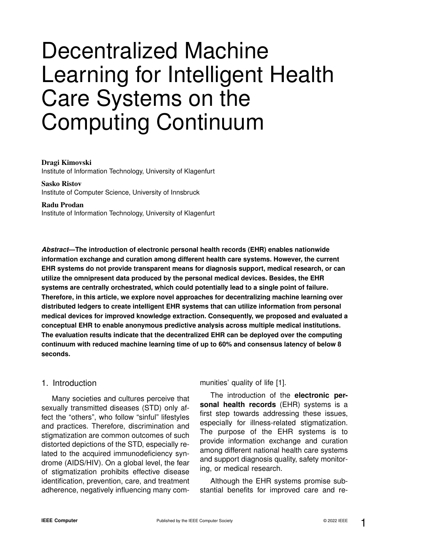# Decentralized Machine Learning for Intelligent Health Care Systems on the Computing Continuum

#### Dragi Kimovski

Institute of Information Technology, University of Klagenfurt

#### Sasko Ristov Institute of Computer Science, University of Innsbruck

Radu Prodan Institute of Information Technology, University of Klagenfurt

*Abstract***—The introduction of electronic personal health records (EHR) enables nationwide information exchange and curation among different health care systems. However, the current EHR systems do not provide transparent means for diagnosis support, medical research, or can utilize the omnipresent data produced by the personal medical devices. Besides, the EHR systems are centrally orchestrated, which could potentially lead to a single point of failure. Therefore, in this article, we explore novel approaches for decentralizing machine learning over distributed ledgers to create intelligent EHR systems that can utilize information from personal medical devices for improved knowledge extraction. Consequently, we proposed and evaluated a conceptual EHR to enable anonymous predictive analysis across multiple medical institutions. The evaluation results indicate that the decentralized EHR can be deployed over the computing continuum with reduced machine learning time of up to 60% and consensus latency of below 8 seconds.**

## 1. Introduction

Many societies and cultures perceive that sexually transmitted diseases (STD) only affect the "others", who follow "sinful" lifestyles and practices. Therefore, discrimination and stigmatization are common outcomes of such distorted depictions of the STD, especially related to the acquired immunodeficiency syndrome (AIDS/HIV). On a global level, the fear of stigmatization prohibits effective disease identification, prevention, care, and treatment adherence, negatively influencing many communities' quality of life [1].

The introduction of the **electronic personal health records** (EHR) systems is a first step towards addressing these issues, especially for illness-related stigmatization. The purpose of the EHR systems is to provide information exchange and curation among different national health care systems and support diagnosis quality, safety monitoring, or medical research.

Although the EHR systems promise substantial benefits for improved care and re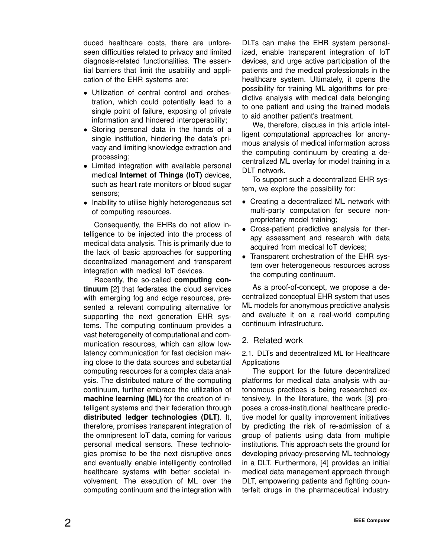duced healthcare costs, there are unforeseen difficulties related to privacy and limited diagnosis-related functionalities. The essential barriers that limit the usability and application of the EHR systems are:

- Utilization of central control and orchestration, which could potentially lead to a single point of failure, exposing of private information and hindered interoperability;
- Storing personal data in the hands of a single institution, hindering the data's privacy and limiting knowledge extraction and processing;
- Limited integration with available personal medical **Internet of Things (IoT)** devices, such as heart rate monitors or blood sugar sensors;
- Inability to utilise highly heterogeneous set of computing resources.

Consequently, the EHRs do not allow intelligence to be injected into the process of medical data analysis. This is primarily due to the lack of basic approaches for supporting decentralized management and transparent integration with medical IoT devices.

Recently, the so-called **computing continuum** [2] that federates the cloud services with emerging fog and edge resources, presented a relevant computing alternative for supporting the next generation EHR systems. The computing continuum provides a vast heterogeneity of computational and communication resources, which can allow lowlatency communication for fast decision making close to the data sources and substantial computing resources for a complex data analysis. The distributed nature of the computing continuum, further embrace the utilization of **machine learning (ML)** for the creation of intelligent systems and their federation through **distributed ledger technologies (DLT)**. It, therefore, promises transparent integration of the omnipresent IoT data, coming for various personal medical sensors. These technologies promise to be the next disruptive ones and eventually enable intelligently controlled healthcare systems with better societal involvement. The execution of ML over the computing continuum and the integration with DLTs can make the EHR system personalized, enable transparent integration of IoT devices, and urge active participation of the patients and the medical professionals in the healthcare system. Ultimately, it opens the possibility for training ML algorithms for predictive analysis with medical data belonging to one patient and using the trained models to aid another patient's treatment.

We, therefore, discuss in this article intelligent computational approaches for anonymous analysis of medical information across the computing continuum by creating a decentralized ML overlay for model training in a DLT network.

To support such a decentralized EHR system, we explore the possibility for:

- Creating a decentralized ML network with multi-party computation for secure nonproprietary model training;
- Cross-patient predictive analysis for therapy assessment and research with data acquired from medical IoT devices;
- Transparent orchestration of the EHR system over heterogeneous resources across the computing continuum.

As a proof-of-concept, we propose a decentralized conceptual EHR system that uses ML models for anonymous predictive analysis and evaluate it on a real-world computing continuum infrastructure.

# 2. Related work

2.1. DLTs and decentralized ML for Healthcare Applications

The support for the future decentralized platforms for medical data analysis with autonomous practices is being researched extensively. In the literature, the work [3] proposes a cross-institutional healthcare predictive model for quality improvement initiatives by predicting the risk of re-admission of a group of patients using data from multiple institutions. This approach sets the ground for developing privacy-preserving ML technology in a DLT. Furthermore, [4] provides an initial medical data management approach through DLT, empowering patients and fighting counterfeit drugs in the pharmaceutical industry.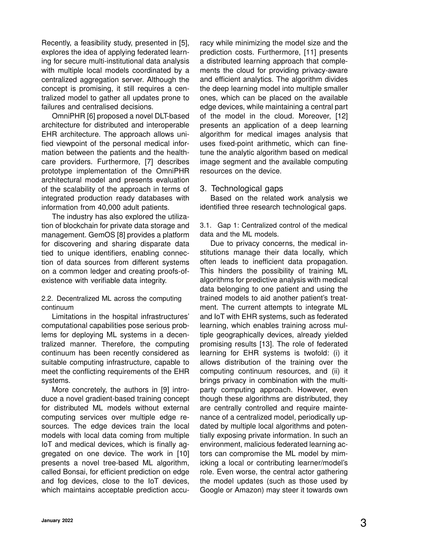Recently, a feasibility study, presented in [5], explores the idea of applying federated learning for secure multi-institutional data analysis with multiple local models coordinated by a centralized aggregation server. Although the concept is promising, it still requires a centralized model to gather all updates prone to failures and centralised decisions.

OmniPHR [6] proposed a novel DLT-based architecture for distributed and interoperable EHR architecture. The approach allows unified viewpoint of the personal medical information between the patients and the healthcare providers. Furthermore, [7] describes prototype implementation of the OmniPHR architectural model and presents evaluation of the scalability of the approach in terms of integrated production ready databases with information from 40,000 adult patients.

The industry has also explored the utilization of blockchain for private data storage and management. GemOS [8] provides a platform for discovering and sharing disparate data tied to unique identifiers, enabling connection of data sources from different systems on a common ledger and creating proofs-ofexistence with verifiable data integrity.

#### 2.2. Decentralized ML across the computing continuum

Limitations in the hospital infrastructures' computational capabilities pose serious problems for deploying ML systems in a decentralized manner. Therefore, the computing continuum has been recently considered as suitable computing infrastructure, capable to meet the conflicting requirements of the EHR systems.

More concretely, the authors in [9] introduce a novel gradient-based training concept for distributed ML models without external computing services over multiple edge resources. The edge devices train the local models with local data coming from multiple IoT and medical devices, which is finally aggregated on one device. The work in [10] presents a novel tree-based ML algorithm, called Bonsai, for efficient prediction on edge and fog devices, close to the IoT devices, which maintains acceptable prediction accuracy while minimizing the model size and the prediction costs. Furthermore, [11] presents a distributed learning approach that complements the cloud for providing privacy-aware and efficient analytics. The algorithm divides the deep learning model into multiple smaller ones, which can be placed on the available edge devices, while maintaining a central part of the model in the cloud. Moreover, [12] presents an application of a deep learning algorithm for medical images analysis that uses fixed-point arithmetic, which can finetune the analytic algorithm based on medical image segment and the available computing resources on the device.

## 3. Technological gaps

Based on the related work analysis we identified three research technological gaps.

3.1. Gap 1: Centralized control of the medical data and the ML models.

Due to privacy concerns, the medical institutions manage their data locally, which often leads to inefficient data propagation. This hinders the possibility of training ML algorithms for predictive analysis with medical data belonging to one patient and using the trained models to aid another patient's treatment. The current attempts to integrate ML and IoT with EHR systems, such as federated learning, which enables training across multiple geographically devices, already yielded promising results [13]. The role of federated learning for EHR systems is twofold: (i) it allows distribution of the training over the computing continuum resources, and (ii) it brings privacy in combination with the multiparty computing approach. However, even though these algorithms are distributed, they are centrally controlled and require maintenance of a centralized model, periodically updated by multiple local algorithms and potentially exposing private information. In such an environment, malicious federated learning actors can compromise the ML model by mimicking a local or contributing learner/model's role. Even worse, the central actor gathering the model updates (such as those used by Google or Amazon) may steer it towards own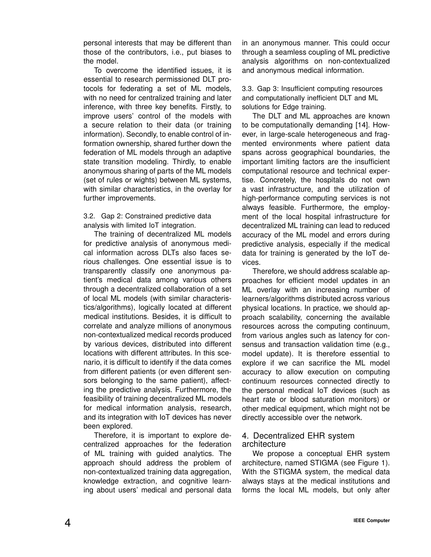personal interests that may be different than those of the contributors, i.e., put biases to the model.

To overcome the identified issues, it is essential to research permissioned DLT protocols for federating a set of ML models, with no need for centralized training and later inference, with three key benefits. Firstly, to improve users' control of the models with a secure relation to their data (or training information). Secondly, to enable control of information ownership, shared further down the federation of ML models through an adaptive state transition modeling. Thirdly, to enable anonymous sharing of parts of the ML models (set of rules or wights) between ML systems, with similar characteristics, in the overlay for further improvements.

3.2. Gap 2: Constrained predictive data analysis with limited IoT integration.

The training of decentralized ML models for predictive analysis of anonymous medical information across DLTs also faces serious challenges. One essential issue is to transparently classify one anonymous patient's medical data among various others through a decentralized collaboration of a set of local ML models (with similar characteristics/algorithms), logically located at different medical institutions. Besides, it is difficult to correlate and analyze millions of anonymous non-contextualized medical records produced by various devices, distributed into different locations with different attributes. In this scenario, it is difficult to identify if the data comes from different patients (or even different sensors belonging to the same patient), affecting the predictive analysis. Furthermore, the feasibility of training decentralized ML models for medical information analysis, research, and its integration with IoT devices has never been explored.

Therefore, it is important to explore decentralized approaches for the federation of ML training with guided analytics. The approach should address the problem of non-contextualized training data aggregation, knowledge extraction, and cognitive learning about users' medical and personal data in an anonymous manner. This could occur through a seamless coupling of ML predictive analysis algorithms on non-contextualized and anonymous medical information.

3.3. Gap 3: Insufficient computing resources and computationally inefficient DLT and ML solutions for Edge training.

The DLT and ML approaches are known to be computationally demanding [14]. However, in large-scale heterogeneous and fragmented environments where patient data spans across geographical boundaries, the important limiting factors are the insufficient computational resource and technical expertise. Concretely, the hospitals do not own a vast infrastructure, and the utilization of high-performance computing services is not always feasible. Furthermore, the employment of the local hospital infrastructure for decentralized ML training can lead to reduced accuracy of the ML model and errors during predictive analysis, especially if the medical data for training is generated by the IoT devices.

Therefore, we should address scalable approaches for efficient model updates in an ML overlay with an increasing number of learners/algorithms distributed across various physical locations. In practice, we should approach scalability, concerning the available resources across the computing continuum, from various angles such as latency for consensus and transaction validation time (e.g., model update). It is therefore essential to explore if we can sacrifice the ML model accuracy to allow execution on computing continuum resources connected directly to the personal medical IoT devices (such as heart rate or blood saturation monitors) or other medical equipment, which might not be directly accessible over the network.

## 4. Decentralized EHR system architecture

We propose a conceptual EHR system architecture, named STIGMA (see Figure 1). With the STIGMA system, the medical data always stays at the medical institutions and forms the local ML models, but only after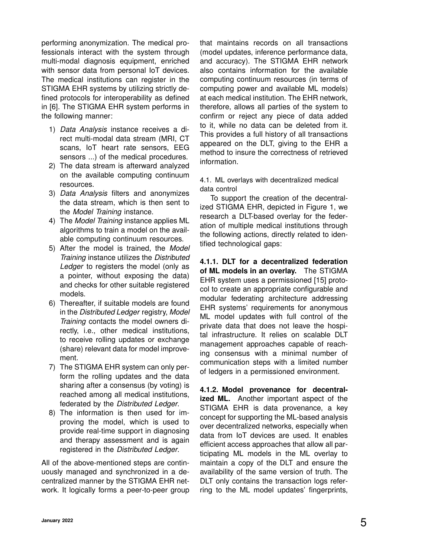performing anonymization. The medical professionals interact with the system through multi-modal diagnosis equipment, enriched with sensor data from personal IoT devices. The medical institutions can register in the STIGMA EHR systems by utilizing strictly defined protocols for interoperability as defined in [6]. The STIGMA EHR system performs in the following manner:

- 1) *Data Analysis* instance receives a direct multi-modal data stream (MRI, CT scans, IoT heart rate sensors, EEG sensors ...) of the medical procedures.
- 2) The data stream is afterward analyzed on the available computing continuum resources.
- 3) *Data Analysis* filters and anonymizes the data stream, which is then sent to the *Model Training* instance.
- 4) The *Model Training* instance applies ML algorithms to train a model on the available computing continuum resources.
- 5) After the model is trained, the *Model Training* instance utilizes the *Distributed Ledger* to registers the model (only as a pointer, without exposing the data) and checks for other suitable registered models.
- 6) Thereafter, if suitable models are found in the *Distributed Ledger* registry, *Model Training* contacts the model owners directly, i.e., other medical institutions, to receive rolling updates or exchange (share) relevant data for model improvement.
- 7) The STIGMA EHR system can only perform the rolling updates and the data sharing after a consensus (by voting) is reached among all medical institutions, federated by the *Distributed Ledger*.
- 8) The information is then used for improving the model, which is used to provide real-time support in diagnosing and therapy assessment and is again registered in the *Distributed Ledger*.

All of the above-mentioned steps are continuously managed and synchronized in a decentralized manner by the STIGMA EHR network. It logically forms a peer-to-peer group that maintains records on all transactions (model updates, inference performance data, and accuracy). The STIGMA EHR network also contains information for the available computing continuum resources (in terms of computing power and available ML models) at each medical institution. The EHR network, therefore, allows all parties of the system to confirm or reject any piece of data added to it, while no data can be deleted from it. This provides a full history of all transactions appeared on the DLT, giving to the EHR a method to insure the correctness of retrieved information.

4.1. ML overlays with decentralized medical data control

To support the creation of the decentralized STIGMA EHR, depicted in Figure 1, we research a DLT-based overlay for the federation of multiple medical institutions through the following actions, directly related to identified technological gaps:

**4.1.1. DLT for a decentralized federation of ML models in an overlay.** The STIGMA EHR system uses a permissioned [15] protocol to create an appropriate configurable and modular federating architecture addressing EHR systems' requirements for anonymous ML model updates with full control of the private data that does not leave the hospital infrastructure. It relies on scalable DLT management approaches capable of reaching consensus with a minimal number of communication steps with a limited number of ledgers in a permissioned environment.

**4.1.2. Model provenance for decentralized ML.** Another important aspect of the STIGMA EHR is data provenance, a key concept for supporting the ML-based analysis over decentralized networks, especially when data from IoT devices are used. It enables efficient access approaches that allow all participating ML models in the ML overlay to maintain a copy of the DLT and ensure the availability of the same version of truth. The DLT only contains the transaction logs referring to the ML model updates' fingerprints,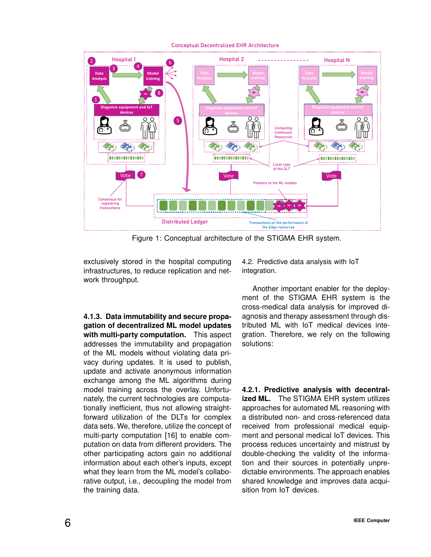



Figure 1: Conceptual architecture of the STIGMA EHR system.

exclusively stored in the hospital computing infrastructures, to reduce replication and network throughput.

4.2. Predictive data analysis with IoT integration.

**4.1.3. Data immutability and secure propagation of decentralized ML model updates with multi-party computation.** This aspect addresses the immutability and propagation of the ML models without violating data privacy during updates. It is used to publish, update and activate anonymous information exchange among the ML algorithms during model training across the overlay. Unfortunately, the current technologies are computationally inefficient, thus not allowing straightforward utilization of the DLTs for complex data sets. We, therefore, utilize the concept of multi-party computation [16] to enable computation on data from different providers. The other participating actors gain no additional information about each other's inputs, except what they learn from the ML model's collaborative output, i.e., decoupling the model from the training data.

Another important enabler for the deployment of the STIGMA EHR system is the cross-medical data analysis for improved diagnosis and therapy assessment through distributed ML with IoT medical devices integration. Therefore, we rely on the following solutions:

**4.2.1. Predictive analysis with decentralized ML.** The STIGMA EHR system utilizes approaches for automated ML reasoning with a distributed non- and cross-referenced data received from professional medical equipment and personal medical IoT devices. This process reduces uncertainty and mistrust by double-checking the validity of the information and their sources in potentially unpredictable environments. The approach enables shared knowledge and improves data acquisition from IoT devices.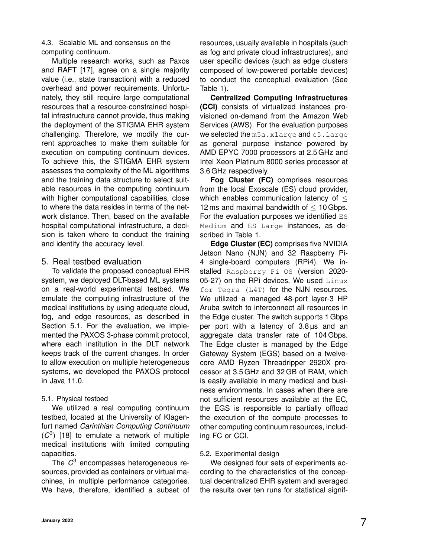4.3. Scalable ML and consensus on the computing continuum.

Multiple research works, such as Paxos and RAFT [17], agree on a single majority value (i.e., state transaction) with a reduced overhead and power requirements. Unfortunately, they still require large computational resources that a resource-constrained hospital infrastructure cannot provide, thus making the deployment of the STIGMA EHR system challenging. Therefore, we modify the current approaches to make them suitable for execution on computing continuum devices. To achieve this, the STIGMA EHR system assesses the complexity of the ML algorithms and the training data structure to select suitable resources in the computing continuum with higher computational capabilities, close to where the data resides in terms of the network distance. Then, based on the available hospital computational infrastructure, a decision is taken where to conduct the training and identify the accuracy level.

## 5. Real testbed evaluation

To validate the proposed conceptual EHR system, we deployed DLT-based ML systems on a real-world experimental testbed. We emulate the computing infrastructure of the medical institutions by using adequate cloud, fog, and edge resources, as described in Section 5.1. For the evaluation, we implemented the PAXOS 3-phase commit protocol, where each institution in the DLT network keeps track of the current changes. In order to allow execution on multiple heterogeneous systems, we developed the PAXOS protocol in Java 11.0.

#### 5.1. Physical testbed

We utilized a real computing continuum testbed, located at the University of Klagenfurt named *Carinthian Computing Continuum* (*C* 3 ) [18] to emulate a network of multiple medical institutions with limited computing capacities.

The *C* <sup>3</sup> encompasses heterogeneous resources, provided as containers or virtual machines, in multiple performance categories. We have, therefore, identified a subset of resources, usually available in hospitals (such as fog and private cloud infrastructures), and user specific devices (such as edge clusters composed of low-powered portable devices) to conduct the conceptual evaluation (See Table 1).

**Centralized Computing Infrastructures (CCI)** consists of virtualized instances provisioned on-demand from the Amazon Web Services (AWS). For the evaluation purposes we selected the m5a.xlarge and c5.large as general purpose instance powered by AMD EPYC 7000 processors at 2.5 GHz and Intel Xeon Platinum 8000 series processor at 3.6 GHz respectively.

**Fog Cluster (FC)** comprises resources from the local Exoscale (ES) cloud provider, which enables communication latency of  $\leq$ 12 ms and maximal bandwidth of  $\leq 10$  Gbps. For the evaluation purposes we identified ES Medium and ES Large instances, as described in Table 1.

**Edge Cluster (EC)** comprises five NVIDIA Jetson Nano (NJN) and 32 Raspberry Pi-4 single-board computers (RPi4). We installed Raspberry Pi OS (version 2020-05-27) on the RPi devices. We used  $\text{Linux}$ for Tegra (L4T) for the NJN resources. We utilized a managed 48-port layer-3 HP Aruba switch to interconnect all resources in the Edge cluster. The switch supports 1 Gbps per port with a latency of 3.8 µs and an aggregate data transfer rate of 104 Gbps. The Edge cluster is managed by the Edge Gateway System (EGS) based on a twelvecore AMD Ryzen Threadripper 2920X processor at 3.5 GHz and 32 GB of RAM, which is easily available in many medical and business environments. In cases when there are not sufficient resources available at the EC, the EGS is responsible to partially offload the execution of the compute processes to other computing continuum resources, including FC or CCI.

## 5.2. Experimental design

We designed four sets of experiments according to the characteristics of the conceptual decentralized EHR system and averaged the results over ten runs for statistical signif-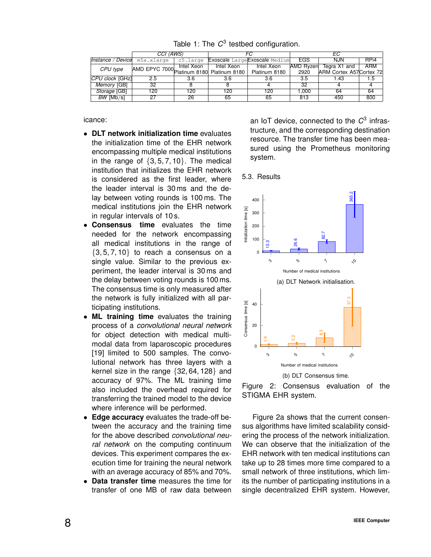|                              | CCI (AWS)                                 |            |            |                                | EС        |                          |                  |
|------------------------------|-------------------------------------------|------------|------------|--------------------------------|-----------|--------------------------|------------------|
| Instance / Device m5a.xlarge |                                           | c5.large   |            | Exoscale Large Exoscale Medium | EGS       | <b>NJN</b>               | RP <sub>i4</sub> |
| CPU type                     | AMD EPYC 7000 Platinum 8180 Platinum 8180 | Intel Xeon | Intel Xeon | Intel Xeon                     | AMD Ryzen | Tegra X1 and             | <b>ARM</b>       |
|                              |                                           |            |            | Platinum 8180                  | 2920      | ARM Cortex A57 Cortex 72 |                  |
| $ CPU \, clock \,  GHz $     | 2.5                                       | 3.6        | 3.6        | 3.6                            | 3.5       | 1.43                     | 1.5              |
| Memory [GB]                  | 32                                        |            |            |                                | 32        |                          |                  |
| Storage [GB]                 | 120                                       | 120        | 120        | 120                            | 1.000     | 64                       | 64               |
| $BW$ [Mb/s]                  | 27                                        | 26         | 65         | 65                             | 813       | 450                      | 800              |

Table 1: The  $C^3$  testbed configuration.

icance:

- **DLT network initialization time** evaluates the initialization time of the EHR network encompassing multiple medical institutions in the range of  $\{3, 5, 7, 10\}$ . The medical institution that initializes the EHR network is considered as the first leader, where the leader interval is 30 ms and the delay between voting rounds is 100 ms. The medical institutions join the EHR network in regular intervals of 10 s.
- **Consensus time** evaluates the time needed for the network encompassing all medical institutions in the range of  $\{3, 5, 7, 10\}$  to reach a consensus on a single value. Similar to the previous experiment, the leader interval is 30 ms and the delay between voting rounds is 100 ms. The consensus time is only measured after the network is fully initialized with all participating institutions.
- **ML training time** evaluates the training process of a *convolutional neural network* for object detection with medical multimodal data from laparoscopic procedures [19] limited to 500 samples. The convolutional network has three layers with a kernel size in the range {32, 64, 128} and accuracy of 97%. The ML training time also included the overhead required for transferring the trained model to the device where inference will be performed.
- **Edge accuracy** evaluates the trade-off between the accuracy and the training time for the above described *convolutional neural network* on the computing continuum devices. This experiment compares the execution time for training the neural network with an average accuracy of 85% and 70%.
- **Data transfer time** measures the time for transfer of one MB of raw data between

an IoT device, connected to the *C* 3 infrastructure, and the corresponding destination resource. The transfer time has been measured using the Prometheus monitoring system.







Figure 2a shows that the current consensus algorithms have limited scalability considering the process of the network initialization. We can observe that the initialization of the EHR network with ten medical institutions can take up to 28 times more time compared to a small network of three institutions, which limits the number of participating institutions in a single decentralized EHR system. However,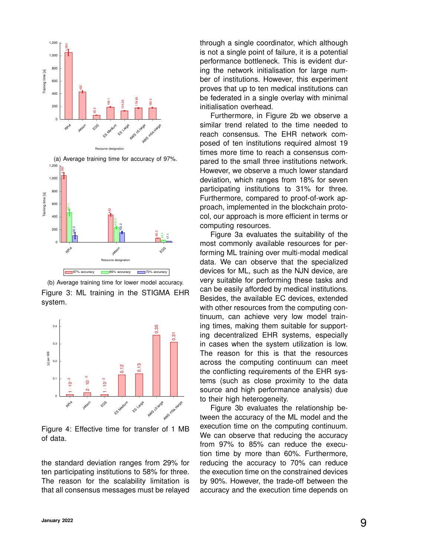



(b) Average training time for lower model accuracy. Figure 3: ML training in the STIGMA EHR system.



Figure 4: Effective time for transfer of 1 MB of data.

the standard deviation ranges from 29% for ten participating institutions to 58% for three. The reason for the scalability limitation is that all consensus messages must be relayed through a single coordinator, which although is not a single point of failure, it is a potential performance bottleneck. This is evident during the network initialisation for large number of institutions. However, this experiment proves that up to ten medical institutions can be federated in a single overlay with minimal initialisation overhead.

Furthermore, in Figure 2b we observe a similar trend related to the time needed to reach consensus. The EHR network composed of ten institutions required almost 19 times more time to reach a consensus compared to the small three institutions network. However, we observe a much lower standard deviation, which ranges from 18% for seven participating institutions to 31% for three. Furthermore, compared to proof-of-work approach, implemented in the blockchain protocol, our approach is more efficient in terms or computing resources.

Figure 3a evaluates the suitability of the most commonly available resources for performing ML training over multi-modal medical data. We can observe that the specialized devices for ML, such as the NJN device, are very suitable for performing these tasks and can be easily afforded by medical institutions. Besides, the available EC devices, extended with other resources from the computing continuum, can achieve very low model training times, making them suitable for supporting decentralized EHR systems, especially in cases when the system utilization is low. The reason for this is that the resources across the computing continuum can meet the conflicting requirements of the EHR systems (such as close proximity to the data source and high performance analysis) due to their high heterogeneity.

Figure 3b evaluates the relationship between the accuracy of the ML model and the execution time on the computing continuum. We can observe that reducing the accuracy from 97% to 85% can reduce the execution time by more than 60%. Furthermore, reducing the accuracy to 70% can reduce the execution time on the constrained devices by 90%. However, the trade-off between the accuracy and the execution time depends on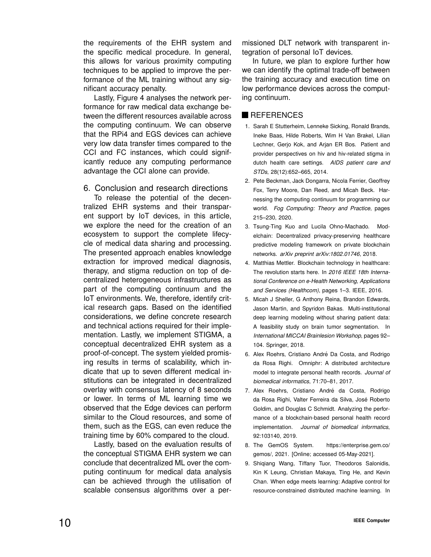the requirements of the EHR system and the specific medical procedure. In general, this allows for various proximity computing techniques to be applied to improve the performance of the ML training without any significant accuracy penalty.

Lastly, Figure 4 analyses the network performance for raw medical data exchange between the different resources available across the computing continuum. We can observe that the RPi4 and EGS devices can achieve very low data transfer times compared to the CCI and FC instances, which could significantly reduce any computing performance advantage the CCI alone can provide.

6. Conclusion and research directions

To release the potential of the decentralized EHR systems and their transparent support by IoT devices, in this article, we explore the need for the creation of an ecosystem to support the complete lifecycle of medical data sharing and processing. The presented approach enables knowledge extraction for improved medical diagnosis, therapy, and stigma reduction on top of decentralized heterogeneous infrastructures as part of the computing continuum and the IoT environments. We, therefore, identify critical research gaps. Based on the identified considerations, we define concrete research and technical actions required for their implementation. Lastly, we implement STIGMA, a conceptual decentralized EHR system as a proof-of-concept. The system yielded promising results in terms of scalability, which indicate that up to seven different medical institutions can be integrated in decentralized overlay with consensus latency of 8 seconds or lower. In terms of ML learning time we observed that the Edge devices can perform similar to the Cloud resources, and some of them, such as the EGS, can even reduce the training time by 60% compared to the cloud.

Lastly, based on the evaluation results of the conceptual STIGMA EHR system we can conclude that decentralized ML over the computing continuum for medical data analysis can be achieved through the utilisation of scalable consensus algorithms over a per-

missioned DLT network with transparent integration of personal IoT devices.

In future, we plan to explore further how we can identify the optimal trade-off between the training accuracy and execution time on low performance devices across the computing continuum.

# **REFERENCES**

- 1. Sarah E Stutterheim, Lenneke Sicking, Ronald Brands, Ineke Baas, Hilde Roberts, Wim H Van Brakel, Lilian Lechner, Gerjo Kok, and Arjan ER Bos. Patient and provider perspectives on hiv and hiv-related stigma in dutch health care settings. *AIDS patient care and STDs*, 28(12):652–665, 2014.
- 2. Pete Beckman, Jack Dongarra, Nicola Ferrier, Geoffrey Fox, Terry Moore, Dan Reed, and Micah Beck. Harnessing the computing continuum for programming our world. *Fog Computing: Theory and Practice*, pages 215–230, 2020.
- 3. Tsung-Ting Kuo and Lucila Ohno-Machado. Modelchain: Decentralized privacy-preserving healthcare predictive modeling framework on private blockchain networks. *arXiv preprint arXiv:1802.01746*, 2018.
- 4. Matthias Mettler. Blockchain technology in healthcare: The revolution starts here. In *2016 IEEE 18th International Conference on e-Health Networking, Applications and Services (Healthcom)*, pages 1–3. IEEE, 2016.
- 5. Micah J Sheller, G Anthony Reina, Brandon Edwards, Jason Martin, and Spyridon Bakas. Multi-institutional deep learning modeling without sharing patient data: A feasibility study on brain tumor segmentation. In *International MICCAI Brainlesion Workshop*, pages 92– 104. Springer, 2018.
- 6. Alex Roehrs, Cristiano André Da Costa, and Rodrigo da Rosa Righi. Omniphr: A distributed architecture model to integrate personal health records. *Journal of biomedical informatics*, 71:70–81, 2017.
- 7. Alex Roehrs, Cristiano André da Costa, Rodrigo da Rosa Righi, Valter Ferreira da Silva, José Roberto Goldim, and Douglas C Schmidt. Analyzing the performance of a blockchain-based personal health record implementation. *Journal of biomedical informatics*, 92:103140, 2019.
- 8. The GemOS System. https://enterprise.gem.co/ gemos/, 2021. [Online; accessed 05-May-2021].
- 9. Shiqiang Wang, Tiffany Tuor, Theodoros Salonidis, Kin K Leung, Christian Makaya, Ting He, and Kevin Chan. When edge meets learning: Adaptive control for resource-constrained distributed machine learning. In